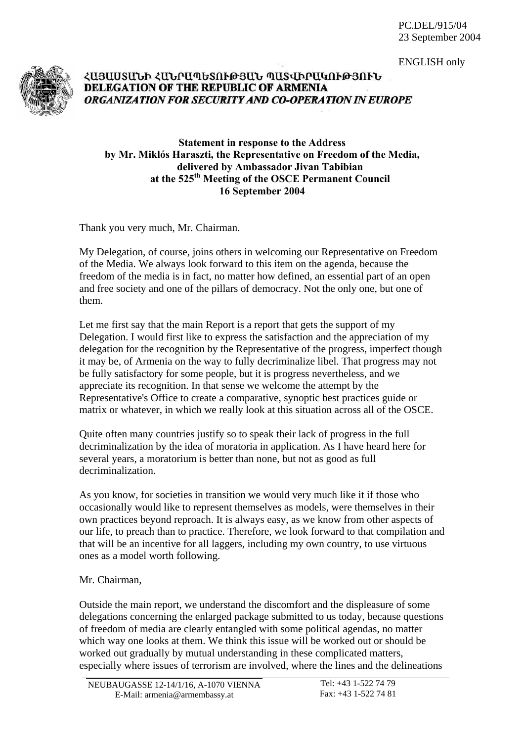ENGLISH only



## ՀԱՅԱՍՏԱՆԻ ՀԱՆՐԱՊԵՏՈՒԹՅԱՆ ՊԱՏՎԻՐԱԿՈՒԹՅՈՒՆ DELEGATION OF THE REPUBLIC OF ARMENIA ORGANIZATION FOR SECURITY AND CO-OPERATION IN EUROPE

## **Statement in response to the Address by Mr. Miklόs Haraszti, the Representative on Freedom of the Media, delivered by Ambassador Jivan Tabibian at the 525th Meeting of the OSCE Permanent Council 16 September 2004**

Thank you very much, Mr. Chairman.

My Delegation, of course, joins others in welcoming our Representative on Freedom of the Media. We always look forward to this item on the agenda, because the freedom of the media is in fact, no matter how defined, an essential part of an open and free society and one of the pillars of democracy. Not the only one, but one of them.

Let me first say that the main Report is a report that gets the support of my Delegation. I would first like to express the satisfaction and the appreciation of my delegation for the recognition by the Representative of the progress, imperfect though it may be, of Armenia on the way to fully decriminalize libel. That progress may not be fully satisfactory for some people, but it is progress nevertheless, and we appreciate its recognition. In that sense we welcome the attempt by the Representative's Office to create a comparative, synoptic best practices guide or matrix or whatever, in which we really look at this situation across all of the OSCE.

Quite often many countries justify so to speak their lack of progress in the full decriminalization by the idea of moratoria in application. As I have heard here for several years, a moratorium is better than none, but not as good as full decriminalization.

As you know, for societies in transition we would very much like it if those who occasionally would like to represent themselves as models, were themselves in their own practices beyond reproach. It is always easy, as we know from other aspects of our life, to preach than to practice. Therefore, we look forward to that compilation and that will be an incentive for all laggers, including my own country, to use virtuous ones as a model worth following.

## Mr. Chairman,

Outside the main report, we understand the discomfort and the displeasure of some delegations concerning the enlarged package submitted to us today, because questions of freedom of media are clearly entangled with some political agendas, no matter which way one looks at them. We think this issue will be worked out or should be worked out gradually by mutual understanding in these complicated matters, especially where issues of terrorism are involved, where the lines and the delineations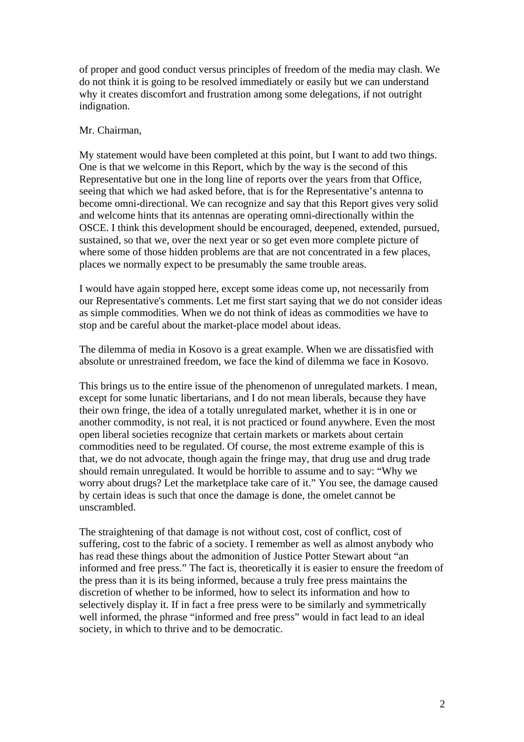of proper and good conduct versus principles of freedom of the media may clash. We do not think it is going to be resolved immediately or easily but we can understand why it creates discomfort and frustration among some delegations, if not outright indignation.

## Mr. Chairman,

My statement would have been completed at this point, but I want to add two things. One is that we welcome in this Report, which by the way is the second of this Representative but one in the long line of reports over the years from that Office, seeing that which we had asked before, that is for the Representative's antenna to become omni-directional. We can recognize and say that this Report gives very solid and welcome hints that its antennas are operating omni-directionally within the OSCE. I think this development should be encouraged, deepened, extended, pursued, sustained, so that we, over the next year or so get even more complete picture of where some of those hidden problems are that are not concentrated in a few places, places we normally expect to be presumably the same trouble areas.

I would have again stopped here, except some ideas come up, not necessarily from our Representative's comments. Let me first start saying that we do not consider ideas as simple commodities. When we do not think of ideas as commodities we have to stop and be careful about the market-place model about ideas.

The dilemma of media in Kosovo is a great example. When we are dissatisfied with absolute or unrestrained freedom, we face the kind of dilemma we face in Kosovo.

This brings us to the entire issue of the phenomenon of unregulated markets. I mean, except for some lunatic libertarians, and I do not mean liberals, because they have their own fringe, the idea of a totally unregulated market, whether it is in one or another commodity, is not real, it is not practiced or found anywhere. Even the most open liberal societies recognize that certain markets or markets about certain commodities need to be regulated. Of course, the most extreme example of this is that, we do not advocate, though again the fringe may, that drug use and drug trade should remain unregulated. It would be horrible to assume and to say: "Why we worry about drugs? Let the marketplace take care of it." You see, the damage caused by certain ideas is such that once the damage is done, the omelet cannot be unscrambled.

The straightening of that damage is not without cost, cost of conflict, cost of suffering, cost to the fabric of a society. I remember as well as almost anybody who has read these things about the admonition of Justice Potter Stewart about "an informed and free press." The fact is, theoretically it is easier to ensure the freedom of the press than it is its being informed, because a truly free press maintains the discretion of whether to be informed, how to select its information and how to selectively display it. If in fact a free press were to be similarly and symmetrically well informed, the phrase "informed and free press" would in fact lead to an ideal society, in which to thrive and to be democratic.